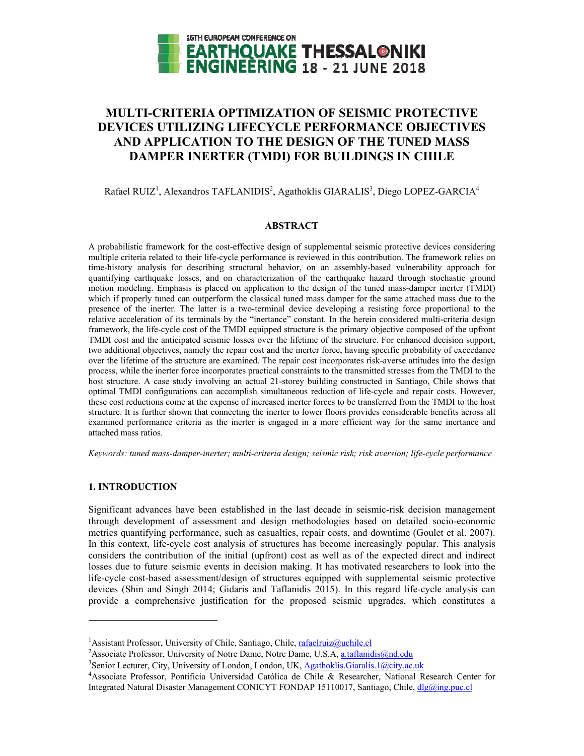

# **MULTI-CRITERIA OPTIMIZATION OF SEISMIC PROTECTIVE DEVICES UTILIZING LIFECYCLE PERFORMANCE OBJECTIVES AND APPLICATION TO THE DESIGN OF THE TUNED MASS DAMPER INERTER (TMDI) FOR BUILDINGS IN CHILE**

Rafael RUIZ<sup>1</sup>, Alexandros TAFLANIDIS<sup>2</sup>, Agathoklis GIARALIS<sup>3</sup>, Diego LOPEZ-GARCIA<sup>4</sup>

# **ABSTRACT**

A probabilistic framework for the cost-effective design of supplemental seismic protective devices considering multiple criteria related to their life-cycle performance is reviewed in this contribution. The framework relies on time-history analysis for describing structural behavior, on an assembly-based vulnerability approach for quantifying earthquake losses, and on characterization of the earthquake hazard through stochastic ground motion modeling. Emphasis is placed on application to the design of the tuned mass-damper inerter (TMDI) which if properly tuned can outperform the classical tuned mass damper for the same attached mass due to the presence of the inerter. The latter is a two-terminal device developing a resisting force proportional to the relative acceleration of its terminals by the "inertance" constant. In the herein considered multi-criteria design framework, the life-cycle cost of the TMDI equipped structure is the primary objective composed of the upfront TMDI cost and the anticipated seismic losses over the lifetime of the structure. For enhanced decision support, two additional objectives, namely the repair cost and the inerter force, having specific probability of exceedance over the lifetime of the structure are examined. The repair cost incorporates risk-averse attitudes into the design process, while the inerter force incorporates practical constraints to the transmitted stresses from the TMDI to the host structure. A case study involving an actual 21-storey building constructed in Santiago, Chile shows that optimal TMDI configurations can accomplish simultaneous reduction of life-cycle and repair costs. However, these cost reductions come at the expense of increased inerter forces to be transferred from the TMDI to the host structure. It is further shown that connecting the inerter to lower floors provides considerable benefits across all examined performance criteria as the inerter is engaged in a more efficient way for the same inertance and attached mass ratios.

*Keywords: tuned mass-damper-inerter; multi-criteria design; seismic risk; risk aversion; life-cycle performance* 

# **1. INTRODUCTION**

 $\overline{a}$ 

Significant advances have been established in the last decade in seismic-risk decision management through development of assessment and design methodologies based on detailed socio-economic metrics quantifying performance, such as casualties, repair costs, and downtime (Goulet et al. 2007). In this context, life-cycle cost analysis of structures has become increasingly popular. This analysis considers the contribution of the initial (upfront) cost as well as of the expected direct and indirect losses due to future seismic events in decision making. It has motivated researchers to look into the life-cycle cost-based assessment/design of structures equipped with supplemental seismic protective devices (Shin and Singh 2014; Gidaris and Taflanidis 2015). In this regard life-cycle analysis can provide a comprehensive justification for the proposed seismic upgrades, which constitutes a

<sup>&</sup>lt;sup>1</sup> Assistant Professor, University of Chile, Santiago, Chile, <u>rafaelruiz@uchile.cl</u><br><sup>2</sup> Associate Professor, University of Notre Dame, Notre Dame, U.S.A., a taflanid

<sup>&</sup>lt;sup>2</sup> Associate Professor, University of Notre Dame, Notre Dame, U.S.A, a.taflanidis@nd.edu

<sup>&</sup>lt;sup>3</sup> Senior Lecturer, City, University of London, London, UK, Agathoklis.Giaralis.1@city.ac.uk

<sup>4</sup> Associate Professor, Pontificia Universidad Católica de Chile & Researcher, National Research Center for Integrated Natural Disaster Management CONICYT FONDAP 15110017, Santiago, Chile, dlg@ing.puc.cl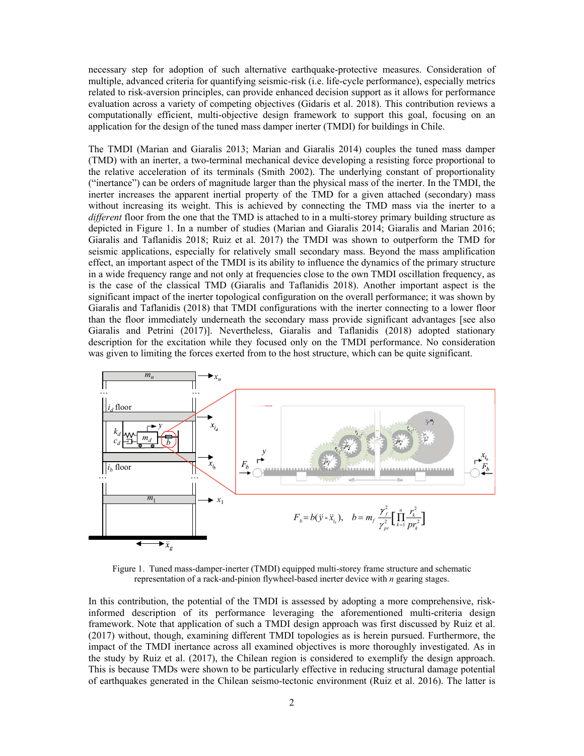necessary step for adoption of such alternative earthquake-protective measures. Consideration of multiple, advanced criteria for quantifying seismic-risk (i.e. life-cycle performance), especially metrics related to risk-aversion principles, can provide enhanced decision support as it allows for performance evaluation across a variety of competing objectives (Gidaris et al. 2018). This contribution reviews a computationally efficient, multi-objective design framework to support this goal, focusing on an application for the design of the tuned mass damper inerter (TMDI) for buildings in Chile.

The TMDI (Marian and Giaralis 2013; Marian and Giaralis 2014) couples the tuned mass damper (TMD) with an inerter, a two-terminal mechanical device developing a resisting force proportional to the relative acceleration of its terminals (Smith 2002). The underlying constant of proportionality ("inertance") can be orders of magnitude larger than the physical mass of the inerter. In the TMDI, the inerter increases the apparent inertial property of the TMD for a given attached (secondary) mass without increasing its weight. This is achieved by connecting the TMD mass via the inerter to a *different* floor from the one that the TMD is attached to in a multi-storey primary building structure as depicted in Figure 1. In a number of studies (Marian and Giaralis 2014; Giaralis and Marian 2016; Giaralis and Taflanidis 2018; Ruiz et al. 2017) the TMDI was shown to outperform the TMD for seismic applications, especially for relatively small secondary mass. Beyond the mass amplification effect, an important aspect of the TMDI is its ability to influence the dynamics of the primary structure in a wide frequency range and not only at frequencies close to the own TMDI oscillation frequency, as is the case of the classical TMD (Giaralis and Taflanidis 2018). Another important aspect is the significant impact of the inerter topological configuration on the overall performance; it was shown by Giaralis and Taflanidis (2018) that TMDI configurations with the inerter connecting to a lower floor than the floor immediately underneath the secondary mass provide significant advantages [see also Giaralis and Petrini (2017)]. Nevertheless, Giaralis and Taflanidis (2018) adopted stationary description for the excitation while they focused only on the TMDI performance. No consideration was given to limiting the forces exerted from to the host structure, which can be quite significant.



Figure 1. Tuned mass-damper-inerter (TMDI) equipped multi-storey frame structure and schematic representation of a rack-and-pinion flywheel-based inerter device with *n* gearing stages.

In this contribution, the potential of the TMDI is assessed by adopting a more comprehensive, riskinformed description of its performance leveraging the aforementioned multi-criteria design framework. Note that application of such a TMDI design approach was first discussed by Ruiz et al. (2017) without, though, examining different TMDI topologies as is herein pursued. Furthermore, the impact of the TMDI inertance across all examined objectives is more thoroughly investigated. As in the study by Ruiz et al. (2017), the Chilean region is considered to exemplify the design approach. This is because TMDs were shown to be particularly effective in reducing structural damage potential of earthquakes generated in the Chilean seismo-tectonic environment (Ruiz et al. 2016). The latter is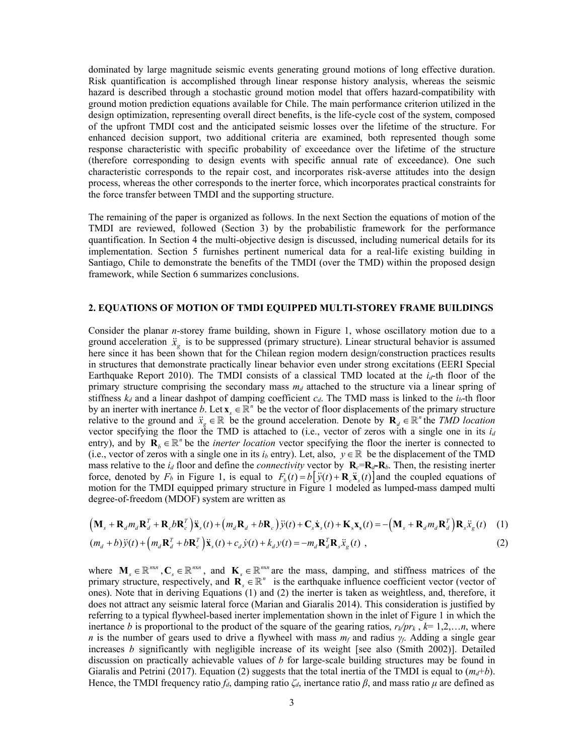dominated by large magnitude seismic events generating ground motions of long effective duration. Risk quantification is accomplished through linear response history analysis, whereas the seismic hazard is described through a stochastic ground motion model that offers hazard-compatibility with ground motion prediction equations available for Chile. The main performance criterion utilized in the design optimization, representing overall direct benefits, is the life-cycle cost of the system, composed of the upfront TMDI cost and the anticipated seismic losses over the lifetime of the structure. For enhanced decision support, two additional criteria are examined, both represented though some response characteristic with specific probability of exceedance over the lifetime of the structure (therefore corresponding to design events with specific annual rate of exceedance). One such characteristic corresponds to the repair cost, and incorporates risk-averse attitudes into the design process, whereas the other corresponds to the inerter force, which incorporates practical constraints for the force transfer between TMDI and the supporting structure.

The remaining of the paper is organized as follows. In the next Section the equations of motion of the TMDI are reviewed, followed (Section 3) by the probabilistic framework for the performance quantification. In Section 4 the multi-objective design is discussed, including numerical details for its implementation. Section 5 furnishes pertinent numerical data for a real-life existing building in Santiago, Chile to demonstrate the benefits of the TMDI (over the TMD) within the proposed design framework, while Section 6 summarizes conclusions.

### **2. EQUATIONS OF MOTION OF TMDI EQUIPPED MULTI-STOREY FRAME BUILDINGS**

Consider the planar *n-*storey frame building, shown in Figure 1, whose oscillatory motion due to a ground acceleration  $\ddot{x}_g$  is to be suppressed (primary structure). Linear structural behavior is assumed here since it has been shown that for the Chilean region modern design/construction practices results in structures that demonstrate practically linear behavior even under strong excitations (EERI Special Earthquake Report 2010). The TMDI consists of a classical TMD located at the *i<sub>d</sub>*-th floor of the primary structure comprising the secondary mass  $m_d$  attached to the structure via a linear spring of stiffness  $k_d$  and a linear dashpot of damping coefficient  $c_d$ . The TMD mass is linked to the  $i_b$ -th floor by an inerter with inertance *b*. Let  $\mathbf{x}_{s} \in \mathbb{R}^{n}$  be the vector of floor displacements of the primary structure relative to the ground and  $\ddot{x}_s \in \mathbb{R}$  be the ground acceleration. Denote by  $\mathbf{R}_d \in \mathbb{R}^n$  the *TMD location* vector specifying the floor the TMD is attached to (i.e., vector of zeros with a single one in its  $i_d$ entry), and by  $\mathbf{R}_b \in \mathbb{R}^n$  be the *inerter location* vector specifying the floor the inerter is connected to (i.e., vector of zeros with a single one in its  $i_b$  entry). Let, also,  $y \in \mathbb{R}$  be the displacement of the TMD mass relative to the  $i_d$  floor and define the *connectivity* vector by  $\mathbf{R}_c = \mathbf{R}_d - \mathbf{R}_b$ . Then, the resisting inerter force, denoted by  $F_b$  in Figure 1, is equal to  $F_b(t) = b[\ddot{y}(t) + \mathbf{R}_c \ddot{x}_s(t)]$  and the coupled equations of motion for the TMDI equipped primary structure in Figure 1 modeled as lumped-mass damped multi degree-of-freedom (MDOF) system are written as

$$
\left(\mathbf{M}_{s} + \mathbf{R}_{d}m_{d}\mathbf{R}_{d}^{T} + \mathbf{R}_{c}b\mathbf{R}_{c}^{T}\right)\ddot{\mathbf{x}}_{s}(t) + \left(m_{d}\mathbf{R}_{d} + b\mathbf{R}_{c}\right)\ddot{y}(t) + \mathbf{C}_{s}\dot{\mathbf{x}}_{s}(t) + \mathbf{K}_{s}\mathbf{x}_{s}(t) = -\left(\mathbf{M}_{s} + \mathbf{R}_{d}m_{d}\mathbf{R}_{d}^{T}\right)\mathbf{R}_{s}\ddot{\mathbf{x}}_{g}(t) \quad (1)
$$
\n
$$
(m_{d} + b)\ddot{y}(t) + \left(m_{d}\mathbf{R}_{d}^{T} + b\mathbf{R}_{c}^{T}\right)\ddot{\mathbf{x}}_{s}(t) + c_{d}\dot{y}(t) + k_{d}y(t) = -m_{d}\mathbf{R}_{d}^{T}\mathbf{R}_{s}\ddot{\mathbf{x}}_{g}(t) \quad (2)
$$

where  $M_s \in \mathbb{R}^{n \times n}$ ,  $C_s \in \mathbb{R}^{n \times n}$ , and  $K_s \in \mathbb{R}^{n \times n}$  are the mass, damping, and stiffness matrices of the primary structure, respectively, and  $\mathbf{R}_{s} \in \mathbb{R}^{n}$  is the earthquake influence coefficient vector (vector of ones). Note that in deriving Equations (1) and (2) the inerter is taken as weightless, and, therefore, it does not attract any seismic lateral force (Marian and Giaralis 2014). This consideration is justified by referring to a typical flywheel-based inerter implementation shown in the inlet of Figure 1 in which the inertance *b* is proportional to the product of the square of the gearing ratios,  $r_k/pr_k$ ,  $k=1,2,...n$ , where *n* is the number of gears used to drive a flywheel with mass  $m_f$  and radius  $\gamma_f$ . Adding a single gear increases *b* significantly with negligible increase of its weight [see also (Smith 2002)]. Detailed discussion on practically achievable values of *b* for large-scale building structures may be found in Giaralis and Petrini (2017). Equation (2) suggests that the total inertia of the TMDI is equal to  $(m_d+b)$ . Hence, the TMDI frequency ratio  $f_d$ , damping ratio  $\zeta_d$ , inertance ratio  $\beta$ , and mass ratio  $\mu$  are defined as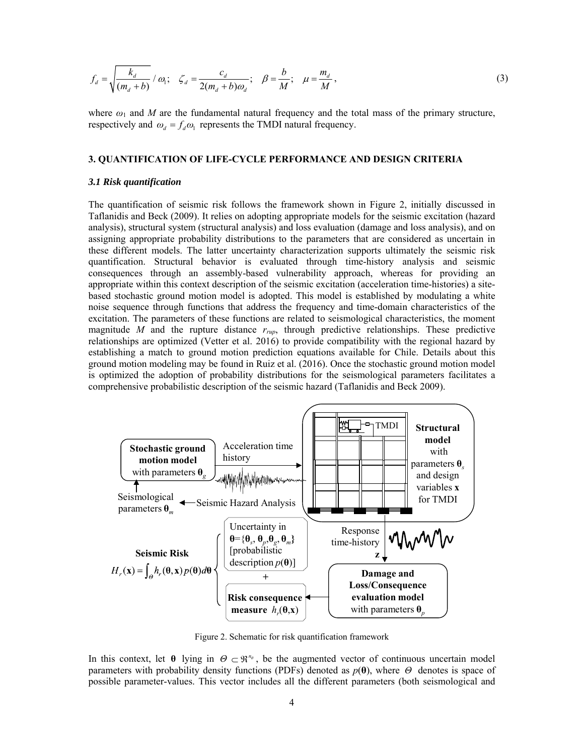$$
f_d = \sqrt{\frac{k_d}{(m_d + b)}} / \omega_1; \quad \zeta_d = \frac{c_d}{2(m_d + b)\omega_d}; \quad \beta = \frac{b}{M}; \quad \mu = \frac{m_d}{M}, \tag{3}
$$

where  $\omega_1$  and *M* are the fundamental natural frequency and the total mass of the primary structure, respectively and  $\omega_d = f_d \omega_l$  represents the TMDI natural frequency.

## **3. QUANTIFICATION OF LIFE-CYCLE PERFORMANCE AND DESIGN CRITERIA**

#### *3.1 Risk quantification*

The quantification of seismic risk follows the framework shown in Figure 2, initially discussed in Taflanidis and Beck (2009). It relies on adopting appropriate models for the seismic excitation (hazard analysis), structural system (structural analysis) and loss evaluation (damage and loss analysis), and on assigning appropriate probability distributions to the parameters that are considered as uncertain in these different models. The latter uncertainty characterization supports ultimately the seismic risk quantification. Structural behavior is evaluated through time-history analysis and seismic consequences through an assembly-based vulnerability approach, whereas for providing an appropriate within this context description of the seismic excitation (acceleration time-histories) a sitebased stochastic ground motion model is adopted. This model is established by modulating a white noise sequence through functions that address the frequency and time-domain characteristics of the excitation. The parameters of these functions are related to seismological characteristics, the moment magnitude *M* and the rupture distance *rrup*, through predictive relationships. These predictive relationships are optimized (Vetter et al. 2016) to provide compatibility with the regional hazard by establishing a match to ground motion prediction equations available for Chile. Details about this ground motion modeling may be found in Ruiz et al. (2016). Once the stochastic ground motion model is optimized the adoption of probability distributions for the seismological parameters facilitates a comprehensive probabilistic description of the seismic hazard (Taflanidis and Beck 2009).



Figure 2. Schematic for risk quantification framework

In this context, let  $\theta$  lying in  $\Theta \subset \mathbb{R}^{n_{\phi}}$ , be the augmented vector of continuous uncertain model parameters with probability density functions (PDFs) denoted as *p*(**θ**), where *Θ* denotes is space of possible parameter-values. This vector includes all the different parameters (both seismological and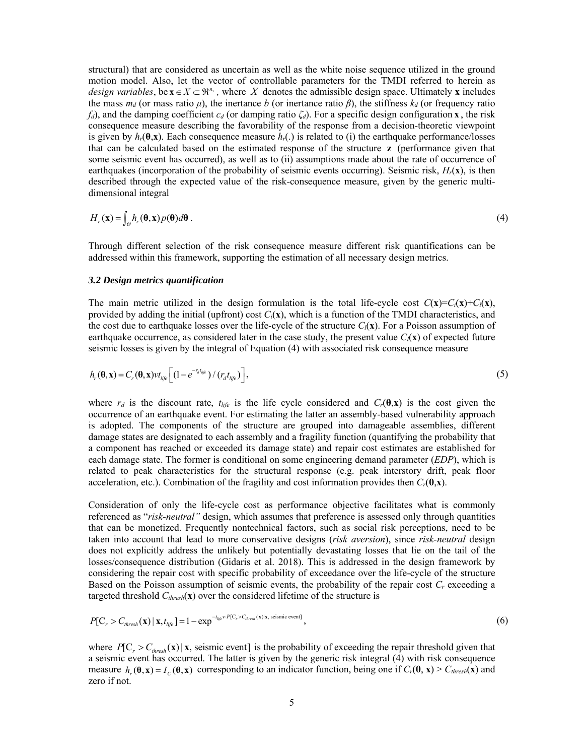structural) that are considered as uncertain as well as the white noise sequence utilized in the ground motion model. Also, let the vector of controllable parameters for the TMDI referred to herein as *design variables*, be  $\mathbf{x} \in X \subset \mathfrak{R}^{n_x}$ , where X denotes the admissible design space. Ultimately **x** includes the mass  $m_d$  (or mass ratio  $\mu$ ), the inertance *b* (or inertance ratio  $\beta$ ), the stiffness  $k_d$  (or frequency ratio *fd*), and the damping coefficient  $c_d$  (or damping ratio  $\zeta_d$ ). For a specific design configuration **x**, the risk consequence measure describing the favorability of the response from a decision-theoretic viewpoint is given by  $h_r(\theta, \mathbf{x})$ . Each consequence measure  $h_r(.)$  is related to (i) the earthquake performance/losses that can be calculated based on the estimated response of the structure **z** (performance given that some seismic event has occurred), as well as to (ii) assumptions made about the rate of occurrence of earthquakes (incorporation of the probability of seismic events occurring). Seismic risk,  $H_r(\mathbf{x})$ , is then described through the expected value of the risk-consequence measure, given by the generic multidimensional integral

$$
H_r(\mathbf{x}) = \int_{\Theta} h_r(\mathbf{\theta}, \mathbf{x}) p(\mathbf{\theta}) d\mathbf{\theta} . \tag{4}
$$

Through different selection of the risk consequence measure different risk quantifications can be addressed within this framework, supporting the estimation of all necessary design metrics.

#### *3.2 Design metrics quantification*

The main metric utilized in the design formulation is the total life-cycle cost  $C(\mathbf{x})=C_i(\mathbf{x})+C_i(\mathbf{x})$ , provided by adding the initial (upfront) cost  $C_i(\mathbf{x})$ , which is a function of the TMDI characteristics, and the cost due to earthquake losses over the life-cycle of the structure  $C_l(\mathbf{x})$ . For a Poisson assumption of earthquake occurrence, as considered later in the case study, the present value  $C_l(\mathbf{x})$  of expected future seismic losses is given by the integral of Equation (4) with associated risk consequence measure

$$
h_r(\mathbf{\theta}, \mathbf{x}) = C_r(\mathbf{\theta}, \mathbf{x}) \nu t_{lije} \left[ \left( 1 - e^{-r_d t_{lije}} \right) / \left( r_d t_{lije} \right) \right],\tag{5}
$$

where  $r_d$  is the discount rate,  $t_{life}$  is the life cycle considered and  $C_r(\theta, \mathbf{x})$  is the cost given the occurrence of an earthquake event. For estimating the latter an assembly-based vulnerability approach is adopted. The components of the structure are grouped into damageable assemblies, different damage states are designated to each assembly and a fragility function (quantifying the probability that a component has reached or exceeded its damage state) and repair cost estimates are established for each damage state. The former is conditional on some engineering demand parameter (*EDP*), which is related to peak characteristics for the structural response (e.g. peak interstory drift, peak floor acceleration, etc.). Combination of the fragility and cost information provides then  $C_r(\theta, \mathbf{x})$ .

Consideration of only the life-cycle cost as performance objective facilitates what is commonly referenced as "*risk-neutral"* design, which assumes that preference is assessed only through quantities that can be monetized. Frequently nontechnical factors, such as social risk perceptions, need to be taken into account that lead to more conservative designs (*risk aversion*), since *risk-neutral* design does not explicitly address the unlikely but potentially devastating losses that lie on the tail of the losses/consequence distribution (Gidaris et al. 2018). This is addressed in the design framework by considering the repair cost with specific probability of exceedance over the life-cycle of the structure Based on the Poisson assumption of seismic events, the probability of the repair cost *Cr* exceeding a targeted threshold  $C_{thresh}(\mathbf{x})$  over the considered lifetime of the structure is

$$
P[C_{r} > C_{\text{thresh}}(\mathbf{x}) \mid \mathbf{x}, t_{\text{life}}] = 1 - \exp^{-t_{\text{life}} \cdot \cdot P[C_{r} > C_{\text{thresh}}(\mathbf{x})] \cdot \mathbf{x}, \text{ seismic event} }],
$$
\n
$$
(6)
$$

where  $P[C_r > C_{thresh}(\mathbf{x}) | \mathbf{x}]$ , seismic event] is the probability of exceeding the repair threshold given that a seismic event has occurred. The latter is given by the generic risk integral (4) with risk consequence measure  $h_{\nu}(\theta, \mathbf{x}) = I_{\nu}(\theta, \mathbf{x})$  corresponding to an indicator function, being one if  $C_{\nu}(\theta, \mathbf{x}) > C_{threshold}(\mathbf{x})$  and zero if not.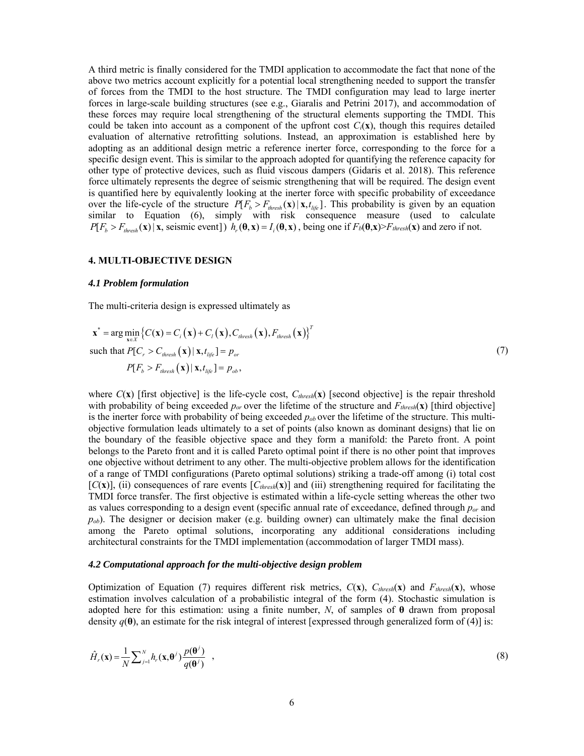A third metric is finally considered for the TMDI application to accommodate the fact that none of the above two metrics account explicitly for a potential local strengthening needed to support the transfer of forces from the TMDI to the host structure. The TMDI configuration may lead to large inerter forces in large-scale building structures (see e.g., Giaralis and Petrini 2017), and accommodation of these forces may require local strengthening of the structural elements supporting the TMDI. This could be taken into account as a component of the upfront cost  $C_i(\mathbf{x})$ , though this requires detailed evaluation of alternative retrofitting solutions. Instead, an approximation is established here by adopting as an additional design metric a reference inerter force, corresponding to the force for a specific design event. This is similar to the approach adopted for quantifying the reference capacity for other type of protective devices, such as fluid viscous dampers (Gidaris et al. 2018). This reference force ultimately represents the degree of seismic strengthening that will be required. The design event is quantified here by equivalently looking at the inerter force with specific probability of exceedance over the life-cycle of the structure  $P[F_b > F_{thresh}(x) | x, t_{life}]$ . This probability is given by an equation similar to Equation (6), simply with risk consequence measure (used to calculate  $P[F_b > F_{threshold}(\mathbf{x}) | \mathbf{x},$  seismic event]  $h_r(\mathbf{\theta}, \mathbf{x}) = I_i(\mathbf{\theta}, \mathbf{x})$ , being one if  $F_b(\mathbf{\theta}, \mathbf{x}) > F_{threshold}(\mathbf{x})$  and zero if not.

#### **4. MULTI-OBJECTIVE DESIGN**

## *4.1 Problem formulation*

The multi-criteria design is expressed ultimately as

$$
\mathbf{x}^* = \arg\min_{\mathbf{x} \in X} \left\{ C(\mathbf{x}) = C_i(\mathbf{x}) + C_l(\mathbf{x}), C_{\text{thresh}}(\mathbf{x}), F_{\text{thresh}}(\mathbf{x}) \right\}^T
$$
\nsuch that  $P[C_r > C_{\text{thresh}}(\mathbf{x}) \mid \mathbf{x}, t_{\text{life}}] = p_{\text{or}}$ 

\n
$$
P[F_b > F_{\text{thresh}}(\mathbf{x}) \mid \mathbf{x}, t_{\text{life}}] = p_{\text{ob}},
$$
\n
$$
(7)
$$

where  $C(\mathbf{x})$  [first objective] is the life-cycle cost,  $C_{threshold}(\mathbf{x})$  [second objective] is the repair threshold with probability of being exceeded  $p_{or}$  over the lifetime of the structure and  $F_{thresh}(\mathbf{x})$  [third objective] is the inerter force with probability of being exceeded *pob* over the lifetime of the structure. This multiobjective formulation leads ultimately to a set of points (also known as dominant designs) that lie on the boundary of the feasible objective space and they form a manifold: the Pareto front. A point belongs to the Pareto front and it is called Pareto optimal point if there is no other point that improves one objective without detriment to any other. The multi-objective problem allows for the identification of a range of TMDI configurations (Pareto optimal solutions) striking a trade-off among (i) total cost  $[C(\mathbf{x})]$ , (ii) consequences of rare events  $[C_{thresh}(\mathbf{x})]$  and (iii) strengthening required for facilitating the TMDI force transfer. The first objective is estimated within a life-cycle setting whereas the other two as values corresponding to a design event (specific annual rate of exceedance, defined through *por* and  $p<sub>ob</sub>$ ). The designer or decision maker (e.g. building owner) can ultimately make the final decision among the Pareto optimal solutions, incorporating any additional considerations including architectural constraints for the TMDI implementation (accommodation of larger TMDI mass).

#### *4.2 Computational approach for the multi-objective design problem*

Optimization of Equation (7) requires different risk metrics,  $C(\mathbf{x})$ ,  $C_{thresh}(\mathbf{x})$  and  $F_{thresh}(\mathbf{x})$ , whose estimation involves calculation of a probabilistic integral of the form (4). Stochastic simulation is adopted here for this estimation: using a finite number,  $N$ , of samples of  $\theta$  drawn from proposal density *q*(**θ**), an estimate for the risk integral of interest [expressed through generalized form of (4)] is:

$$
\hat{H}_r(\mathbf{x}) = \frac{1}{N} \sum_{j=1}^N h_r(\mathbf{x}, \mathbf{\theta}^j) \frac{p(\mathbf{\theta}^j)}{q(\mathbf{\theta}^j)},
$$
\n(8)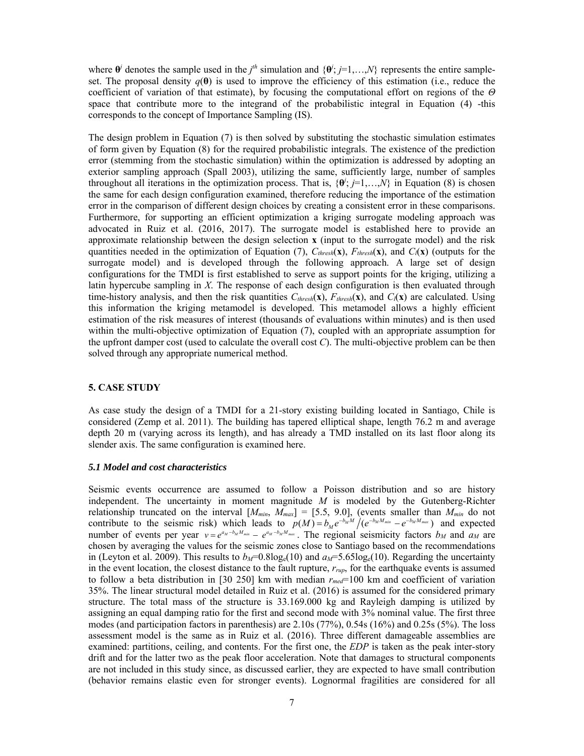where  $\theta$ <sup>*i*</sup> denotes the sample used in the *j*<sup>th</sup> simulation and  $\{\theta^i; j=1,...,N\}$  represents the entire sampleset. The proposal density  $q(\theta)$  is used to improve the efficiency of this estimation (i.e., reduce the coefficient of variation of that estimate), by focusing the computational effort on regions of the *Θ* space that contribute more to the integrand of the probabilistic integral in Equation (4) -this corresponds to the concept of Importance Sampling (IS).

The design problem in Equation (7) is then solved by substituting the stochastic simulation estimates of form given by Equation (8) for the required probabilistic integrals. The existence of the prediction error (stemming from the stochastic simulation) within the optimization is addressed by adopting an exterior sampling approach (Spall 2003), utilizing the same, sufficiently large, number of samples throughout all iterations in the optimization process. That is,  $\{\theta^j; j=1,\ldots,N\}$  in Equation (8) is chosen the same for each design configuration examined, therefore reducing the importance of the estimation error in the comparison of different design choices by creating a consistent error in these comparisons. Furthermore, for supporting an efficient optimization a kriging surrogate modeling approach was advocated in Ruiz et al. (2016, 2017). The surrogate model is established here to provide an approximate relationship between the design selection **x** (input to the surrogate model) and the risk quantities needed in the optimization of Equation (7),  $C_{thresh}(\mathbf{x})$ ,  $F_{thresh}(\mathbf{x})$ , and  $C_l(\mathbf{x})$  (outputs for the surrogate model) and is developed through the following approach. A large set of design configurations for the TMDI is first established to serve as support points for the kriging, utilizing a latin hypercube sampling in *X*. The response of each design configuration is then evaluated through time-history analysis, and then the risk quantities  $C_{thresh}(\mathbf{x})$ ,  $F_{thresh}(\mathbf{x})$ , and  $C_l(\mathbf{x})$  are calculated. Using this information the kriging metamodel is developed. This metamodel allows a highly efficient estimation of the risk measures of interest (thousands of evaluations within minutes) and is then used within the multi-objective optimization of Equation (7), coupled with an appropriate assumption for the upfront damper cost (used to calculate the overall cost *C*). The multi-objective problem can be then solved through any appropriate numerical method.

## **5. CASE STUDY**

As case study the design of a TMDI for a 21-story existing building located in Santiago, Chile is considered (Zemp et al. 2011). The building has tapered elliptical shape, length 76.2 m and average depth 20 m (varying across its length), and has already a TMD installed on its last floor along its slender axis. The same configuration is examined here.

## *5.1 Model and cost characteristics*

Seismic events occurrence are assumed to follow a Poisson distribution and so are history independent. The uncertainty in moment magnitude *M* is modeled by the Gutenberg-Richter relationship truncated on the interval [*Mmin*, *Mmax*] = [5.5, 9.0], (events smaller than *Mmin* do not contribute to the seismic risk) which leads to  $p(M) = b_M e^{-b_M M} / (e^{-b_M M_{min}} - e^{-b_M M_{max}})$  and expected number of events per year  $v = e^{a_M - b_M M_{min}} - e^{a_M - b_M M_{max}}$ . The regional seismicity factors  $b_M$  and  $a_M$  are chosen by averaging the values for the seismic zones close to Santiago based on the recommendations in (Leyton et al. 2009). This results to  $b_M$ =0.8log<sub>e</sub>(10) and  $a_M$ =5.65log<sub>e</sub>(10). Regarding the uncertainty in the event location, the closest distance to the fault rupture, *rrup*, for the earthquake events is assumed to follow a beta distribution in [30 250] km with median *rmed*=100 km and coefficient of variation 35%. The linear structural model detailed in Ruiz et al. (2016) is assumed for the considered primary structure. The total mass of the structure is 33.169.000 kg and Rayleigh damping is utilized by assigning an equal damping ratio for the first and second mode with 3% nominal value. The first three modes (and participation factors in parenthesis) are 2.10s (77%), 0.54s (16%) and 0.25s (5%). The loss assessment model is the same as in Ruiz et al. (2016). Three different damageable assemblies are examined: partitions, ceiling, and contents. For the first one, the *EDP* is taken as the peak inter-story drift and for the latter two as the peak floor acceleration. Note that damages to structural components are not included in this study since, as discussed earlier, they are expected to have small contribution (behavior remains elastic even for stronger events). Lognormal fragilities are considered for all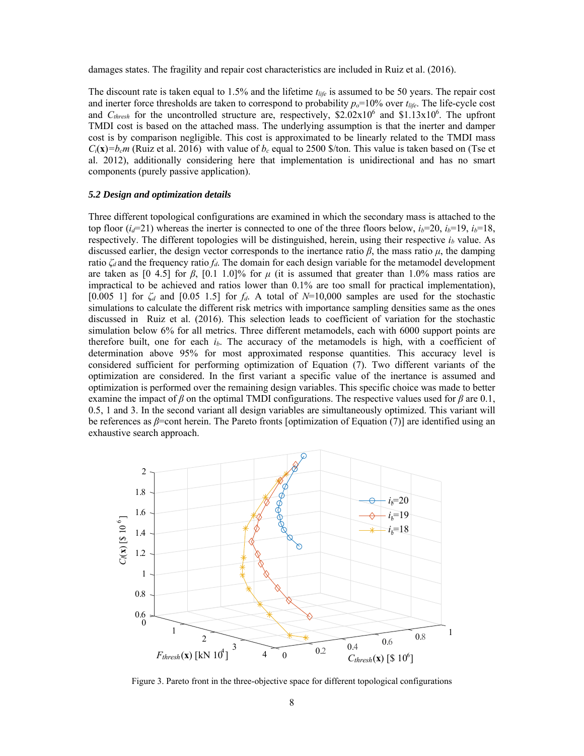damages states. The fragility and repair cost characteristics are included in Ruiz et al. (2016).

The discount rate is taken equal to 1.5% and the lifetime *tlife* is assumed to be 50 years. The repair cost and inerter force thresholds are taken to correspond to probability *po*=10% over *tlife*. The life-cycle cost and  $C_{thresh}$  for the uncontrolled structure are, respectively, \$2.02x10<sup>6</sup> and \$1.13x10<sup>6</sup>. The upfront TMDI cost is based on the attached mass. The underlying assumption is that the inerter and damper cost is by comparison negligible. This cost is approximated to be linearly related to the TMDI mass  $C_i(x) = b_c m$  (Ruiz et al. 2016) with value of  $b_c$  equal to 2500 \$/ton. This value is taken based on (Tse et al. 2012), additionally considering here that implementation is unidirectional and has no smart components (purely passive application).

#### *5.2 Design and optimization details*

Three different topological configurations are examined in which the secondary mass is attached to the top floor  $(i_d=21)$  whereas the inerter is connected to one of the three floors below,  $i_b=20$ ,  $i_b=19$ ,  $i_b=18$ , respectively. The different topologies will be distinguished, herein, using their respective *ib* value. As discussed earlier, the design vector corresponds to the inertance ratio *β*, the mass ratio *μ*, the damping ratio  $\zeta_d$  and the frequency ratio  $f_d$ . The domain for each design variable for the metamodel development are taken as  $[0, 4.5]$  for  $\beta$ ,  $[0.1, 1.0]$ % for  $\mu$  (it is assumed that greater than 1.0% mass ratios are impractical to be achieved and ratios lower than 0.1% are too small for practical implementation), [0.005 1] for  $\zeta_d$  and [0.05 1.5] for  $f_d$ . A total of *N*=10,000 samples are used for the stochastic simulations to calculate the different risk metrics with importance sampling densities same as the ones discussed in Ruiz et al. (2016). This selection leads to coefficient of variation for the stochastic simulation below 6% for all metrics. Three different metamodels, each with 6000 support points are therefore built, one for each *ib*. The accuracy of the metamodels is high, with a coefficient of determination above 95% for most approximated response quantities. This accuracy level is considered sufficient for performing optimization of Equation (7). Two different variants of the optimization are considered. In the first variant a specific value of the inertance is assumed and optimization is performed over the remaining design variables. This specific choice was made to better examine the impact of  $\beta$  on the optimal TMDI configurations. The respective values used for  $\beta$  are 0.1, 0.5, 1 and 3. In the second variant all design variables are simultaneously optimized. This variant will be references as *β*=cont herein. The Pareto fronts [optimization of Equation (7)] are identified using an exhaustive search approach.



Figure 3. Pareto front in the three-objective space for different topological configurations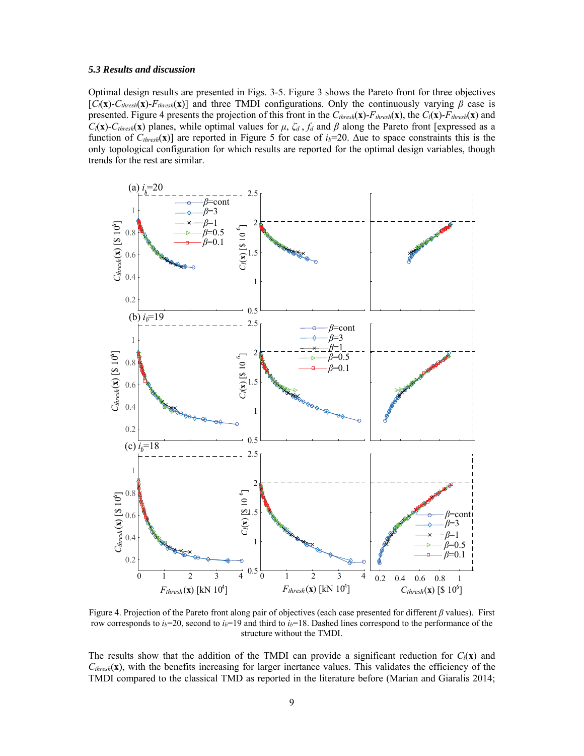#### *5.3 Results and discussion*

Optimal design results are presented in Figs. 3-5. Figure 3 shows the Pareto front for three objectives [*Cl*(**x**)-*Cthresh*(**x**)-*Fthresh*(**x**)] and three TMDI configurations. Only the continuously varying *β* case is presented. Figure 4 presents the projection of this front in the  $C_{thresh}(\mathbf{x})$ - $F_{thresh}(\mathbf{x})$ , the  $C_l(\mathbf{x})$ - $F_{thresh}(\mathbf{x})$  and *C*<sub>(</sub>**x**)-*C*<sub>thresh</sub>(**x**) planes, while optimal values for *μ*,  $\zeta_d$ ,  $f_d$  and *β* along the Pareto front [expressed as a function of  $C_{thresh}(\mathbf{x})$  are reported in Figure 5 for case of  $i_b=20$ . Δue to space constraints this is the only topological configuration for which results are reported for the optimal design variables, though trends for the rest are similar.



Figure 4. Projection of the Pareto front along pair of objectives (each case presented for different *β* values). First row corresponds to *ib*=20, second to *ib*=19 and third to *ib*=18. Dashed lines correspond to the performance of the structure without the TMDI.

The results show that the addition of the TMDI can provide a significant reduction for  $C_l(x)$  and  $C_{thresh}(\mathbf{x})$ , with the benefits increasing for larger inertance values. This validates the efficiency of the TMDI compared to the classical TMD as reported in the literature before (Marian and Giaralis 2014;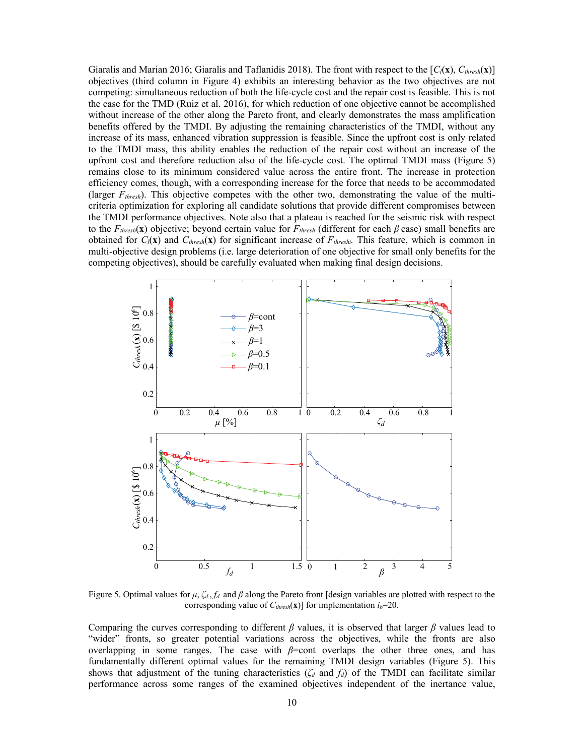Giaralis and Marian 2016; Giaralis and Taflanidis 2018). The front with respect to the [*Cl*(**x**), *Cthresh*(**x**)] objectives (third column in Figure 4) exhibits an interesting behavior as the two objectives are not competing: simultaneous reduction of both the life-cycle cost and the repair cost is feasible. This is not the case for the TMD (Ruiz et al. 2016), for which reduction of one objective cannot be accomplished without increase of the other along the Pareto front, and clearly demonstrates the mass amplification benefits offered by the TMDI. By adjusting the remaining characteristics of the TMDI, without any increase of its mass, enhanced vibration suppression is feasible. Since the upfront cost is only related to the TMDI mass, this ability enables the reduction of the repair cost without an increase of the upfront cost and therefore reduction also of the life-cycle cost. The optimal TMDI mass (Figure 5) remains close to its minimum considered value across the entire front. The increase in protection efficiency comes, though, with a corresponding increase for the force that needs to be accommodated (larger *Fthresh*). This objective competes with the other two, demonstrating the value of the multicriteria optimization for exploring all candidate solutions that provide different compromises between the TMDI performance objectives. Note also that a plateau is reached for the seismic risk with respect to the  $F_{thresh}(\mathbf{x})$  objective; beyond certain value for  $F_{thresh}$  (different for each  $\beta$  case) small benefits are obtained for  $C_l(\mathbf{x})$  and  $C_{threshold}(\mathbf{x})$  for significant increase of  $F_{threshold}$ . This feature, which is common in multi-objective design problems (i.e. large deterioration of one objective for small only benefits for the competing objectives), should be carefully evaluated when making final design decisions.



Figure 5. Optimal values for *μ*, *ζd* , *fd* and *β* along the Pareto front [design variables are plotted with respect to the corresponding value of  $C_{thresh}(\mathbf{x})$ ] for implementation  $i_b$ =20.

Comparing the curves corresponding to different *β* values, it is observed that larger *β* values lead to "wider" fronts, so greater potential variations across the objectives, while the fronts are also overlapping in some ranges. The case with *β*=cont overlaps the other three ones, and has fundamentally different optimal values for the remaining TMDI design variables (Figure 5). This shows that adjustment of the tuning characteristics ( $\zeta_d$  and  $f_d$ ) of the TMDI can facilitate similar performance across some ranges of the examined objectives independent of the inertance value,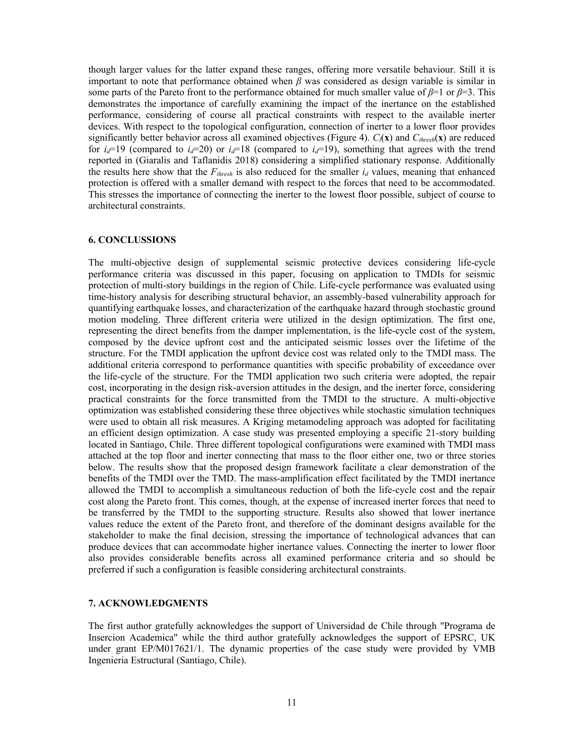though larger values for the latter expand these ranges, offering more versatile behaviour. Still it is important to note that performance obtained when *β* was considered as design variable is similar in some parts of the Pareto front to the performance obtained for much smaller value of *β*=1 or *β*=3. This demonstrates the importance of carefully examining the impact of the inertance on the established performance, considering of course all practical constraints with respect to the available inerter devices. With respect to the topological configuration, connection of inerter to a lower floor provides significantly better behavior across all examined objectives (Figure 4).  $C_l(\mathbf{x})$  and  $C_{threshold}(\mathbf{x})$  are reduced for  $i_d=19$  (compared to  $i_d=20$ ) or  $i_d=18$  (compared to  $i_d=19$ ), something that agrees with the trend reported in (Giaralis and Taflanidis 2018) considering a simplified stationary response. Additionally the results here show that the  $F_{thresh}$  is also reduced for the smaller  $i_d$  values, meaning that enhanced protection is offered with a smaller demand with respect to the forces that need to be accommodated. This stresses the importance of connecting the inerter to the lowest floor possible, subject of course to architectural constraints.

#### **6. CONCLUSSIONS**

The multi-objective design of supplemental seismic protective devices considering life-cycle performance criteria was discussed in this paper, focusing on application to TMDIs for seismic protection of multi-story buildings in the region of Chile. Life-cycle performance was evaluated using time-history analysis for describing structural behavior, an assembly-based vulnerability approach for quantifying earthquake losses, and characterization of the earthquake hazard through stochastic ground motion modeling. Three different criteria were utilized in the design optimization. The first one, representing the direct benefits from the damper implementation, is the life-cycle cost of the system, composed by the device upfront cost and the anticipated seismic losses over the lifetime of the structure. For the TMDI application the upfront device cost was related only to the TMDI mass. The additional criteria correspond to performance quantities with specific probability of exceedance over the life-cycle of the structure. For the TMDI application two such criteria were adopted, the repair cost, incorporating in the design risk-aversion attitudes in the design, and the inerter force, considering practical constraints for the force transmitted from the TMDI to the structure. A multi-objective optimization was established considering these three objectives while stochastic simulation techniques were used to obtain all risk measures. A Kriging metamodeling approach was adopted for facilitating an efficient design optimization. A case study was presented employing a specific 21-story building located in Santiago, Chile. Three different topological configurations were examined with TMDI mass attached at the top floor and inerter connecting that mass to the floor either one, two or three stories below. The results show that the proposed design framework facilitate a clear demonstration of the benefits of the TMDI over the TMD. The mass-amplification effect facilitated by the TMDI inertance allowed the TMDI to accomplish a simultaneous reduction of both the life-cycle cost and the repair cost along the Pareto front. This comes, though, at the expense of increased inerter forces that need to be transferred by the TMDI to the supporting structure. Results also showed that lower inertance values reduce the extent of the Pareto front, and therefore of the dominant designs available for the stakeholder to make the final decision, stressing the importance of technological advances that can produce devices that can accommodate higher inertance values. Connecting the inerter to lower floor also provides considerable benefits across all examined performance criteria and so should be preferred if such a configuration is feasible considering architectural constraints.

# **7. ACKNOWLEDGMENTS**

The first author gratefully acknowledges the support of Universidad de Chile through "Programa de Insercion Academica" while the third author gratefully acknowledges the support of EPSRC, UK under grant EP/M017621/1. The dynamic properties of the case study were provided by VMB Ingenieria Estructural (Santiago, Chile).